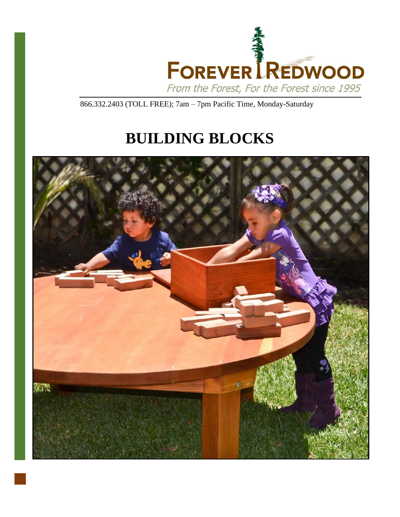

866.332.2403 (TOLL FREE); 7am – 7pm Pacific Time, Monday-Saturday

# **BUILDING BLOCKS**

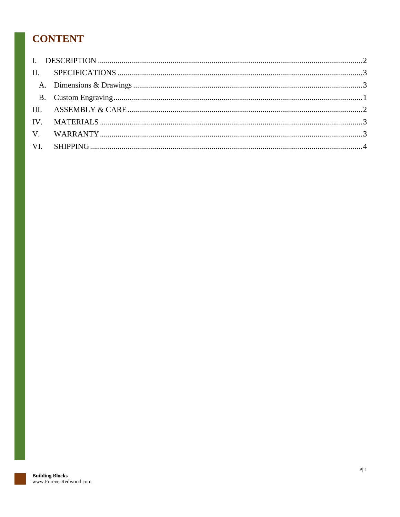# **CONTENT**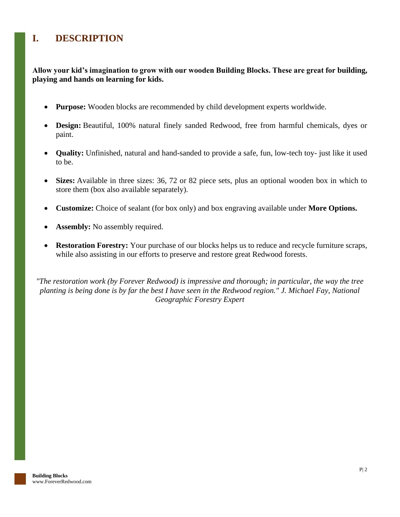# <span id="page-2-0"></span>**I. DESCRIPTION**

**Allow your kid's imagination to grow with our wooden Building Blocks. These are great for building, playing and hands on learning for kids.**

- **Purpose:** Wooden blocks are recommended by child development experts worldwide.
- **Design:** Beautiful, 100% natural finely sanded Redwood, free from harmful chemicals, dyes or paint.
- **Quality:** Unfinished, natural and hand-sanded to provide a safe, fun, low-tech toy- just like it used to be.
- **Sizes:** Available in three sizes: 36, 72 or 82 piece sets, plus an optional wooden box in which to store them (box also available separately).
- **Customize:** Choice of sealant (for box only) and box engraving available under **More Options.**
- **Assembly:** No assembly required.
- **Restoration Forestry:** Your purchase of our blocks helps us to reduce and recycle furniture scraps, while also assisting in our efforts to preserve and restore great Redwood forests.

*"The restoration work (by Forever Redwood) is impressive and thorough; in particular, the way the tree planting is being done is by far the best I have seen in the Redwood region." J. Michael Fay, National Geographic Forestry Expert*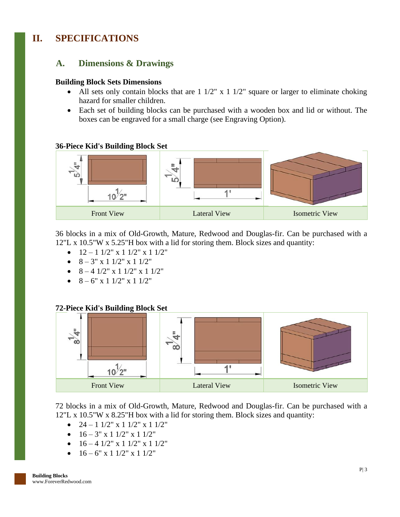# <span id="page-3-1"></span><span id="page-3-0"></span>**II. SPECIFICATIONS**

## **A. Dimensions & Drawings**

### **Building Block Sets Dimensions**

- All sets only contain blocks that are  $1 \frac{1}{2}$ " x  $1 \frac{1}{2}$ " square or larger to eliminate choking hazard for smaller children.
- Each set of building blocks can be purchased with a wooden box and lid or without. The boxes can be engraved for a small charge (see Engraving Option).

### **36-Piece Kid's Building Block Set**



36 blocks in a mix of Old-Growth, Mature, Redwood and Douglas-fir. Can be purchased with a 12"L x 10.5"W x 5.25"H box with a lid for storing them. Block sizes and quantity:

- $12 1$   $1/2$ " x  $1$   $1/2$ " x  $1$   $1/2$ "
- $8 3$ " x 1 1/2" x 1 1/2"
- $8 4$  1/2" x 1 1/2" x 1 1/2"
- $8 6"$  x 1 1/2" x 1 1/2"

## **72-Piece Kid's Building Block Set**



72 blocks in a mix of Old-Growth, Mature, Redwood and Douglas-fir. Can be purchased with a 12"L x 10.5"W x 8.25"H box with a lid for storing them. Block sizes and quantity:

- $24 1$   $1/2$ " x  $1$   $1/2$ " x  $1$   $1/2$ "
- $16 3''$  x 1  $1/2''$  x 1  $1/2''$
- $16 4$   $1/2$ " x 1  $1/2$ " x 1  $1/2$ "
- $16 6$ " x 1  $1/2$ " x 1  $1/2$ "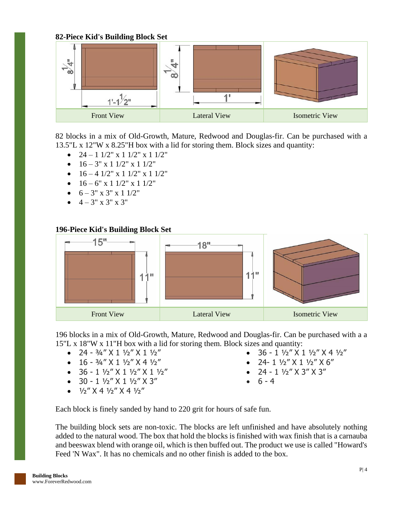## **82-Piece Kid's Building Block Set**



82 blocks in a mix of Old-Growth, Mature, Redwood and Douglas-fir. Can be purchased with a 13.5"L x 12"W x 8.25"H box with a lid for storing them. Block sizes and quantity:

- $24 1$   $1/2$ " x 1  $1/2$ " x 1  $1/2$ "
- $16 3'' \times 11/2'' \times 11/2''$
- $16 4$   $1/2$ " x 1  $1/2$ " x 1  $1/2$ "
- $16 6" \times 1 \frac{1}{2" \times 1 \frac{1}{2"}$
- $6 3'' \times 3'' \times 11/2''$
- $4 3'' \times 3'' \times 3''$

## **196-Piece Kid's Building Block Set**



196 blocks in a mix of Old-Growth, Mature, Redwood and Douglas-fir. Can be purchased with a a 15"L x 18"W x 11"H box with a lid for storing them. Block sizes and quantity:

- 24  $3/4$ " X 1  $1/2$ " X 1  $1/2$ "
- $16 \frac{3}{4}$ " X  $1 \frac{1}{2}$ " X  $4 \frac{1}{2}$ "
- $36 1 \frac{1}{2}$   $\times$   $1 \frac{1}{2}$   $\times$   $1 \frac{1}{2}$   $\times$
- $30 1 \frac{1}{2}$  X  $1 \frac{1}{2}$  X  $3$ "
- $1/2$ " X 4  $1/2$ " X 4  $1/2$ "
- $36 1 \frac{1}{2}$   $\times$   $1 \frac{1}{2}$   $\times$   $4 \frac{1}{2}$
- 24- 1  $1/2$ " X 1  $1/2$ " X 6"
- 24 1  $\frac{1}{2}$ " X 3" X 3"
- $6 4$

Each block is finely sanded by hand to 220 grit for hours of safe fun.

The building block sets are non-toxic. The blocks are left unfinished and have absolutely nothing added to the natural wood. The box that hold the blocks is finished with wax finish that is a carnauba and beeswax blend with orange oil, which is then buffed out. The product we use is called "Howard's Feed 'N Wax". It has no chemicals and no other finish is added to the box.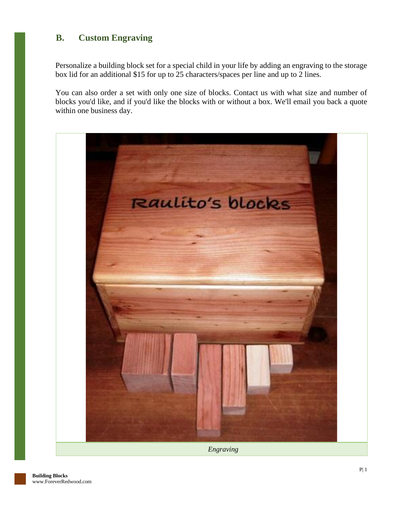## <span id="page-5-0"></span>**B. Custom Engraving**

Personalize a building block set for a special child in your life by adding an engraving to the storage box lid for an additional \$15 for up to 25 characters/spaces per line and up to 2 lines.

You can also order a set with only one size of blocks. Contact us with what size and number of blocks you'd like, and if you'd like the blocks with or without a box. We'll email you back a quote within one business day.



*Engraving*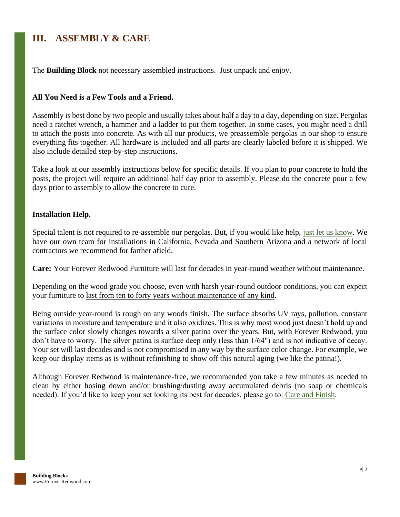# <span id="page-6-0"></span>**III. ASSEMBLY & CARE**

The **Building Block** not necessary assembled instructions. Just unpack and enjoy.

## **All You Need is a Few Tools and a Friend.**

Assembly is best done by two people and usually takes about half a day to a day, depending on size. Pergolas need a ratchet wrench, a hammer and a ladder to put them together. In some cases, you might need a drill to attach the posts into concrete. As with all our products, we preassemble pergolas in our shop to ensure everything fits together. All hardware is included and all parts are clearly labeled before it is shipped. We also include detailed step-by-step instructions.

Take a look at our assembly instructions below for specific details. If you plan to pour concrete to hold the posts, the project will require an additional half day prior to assembly. Please do the concrete pour a few days prior to assembly to allow the concrete to cure.

### **Installation Help.**

Special talent is not required to re-assemble our pergolas. But, if you would like help, [just let us know.](https://www.foreverredwood.com/information/contact) We have our own team for installations in California, Nevada and Southern Arizona and a network of local contractors we recommend for farther afield.

**Care:** Your Forever Redwood Furniture will last for decades in year-round weather without maintenance.

Depending on the wood grade you choose, even with harsh year-round outdoor conditions, you can expect your furniture to last from ten to forty years without maintenance of any kind.

Being outside year-round is rough on any woods finish. The surface absorbs UV rays, pollution, constant variations in moisture and temperature and it also oxidizes. This is why most wood just doesn't hold up and the surface color slowly changes towards a silver patina over the years. But, with Forever Redwood, you don't have to worry. The silver patina is surface deep only (less than 1/64") and is not indicative of decay. Your set will last decades and is not compromised in any way by the surface color change. For example, we keep our display items as is without refinishing to show off this natural aging (we like the patina!).

Although Forever Redwood is maintenance-free, we recommended you take a few minutes as needed to clean by either hosing down and/or brushing/dusting away accumulated debris (no soap or chemicals needed). If you'd like to keep your set looking its best for decades, please go to: [Care and Finish.](https://www.foreverredwood.com/redwood-furniture/care-finish)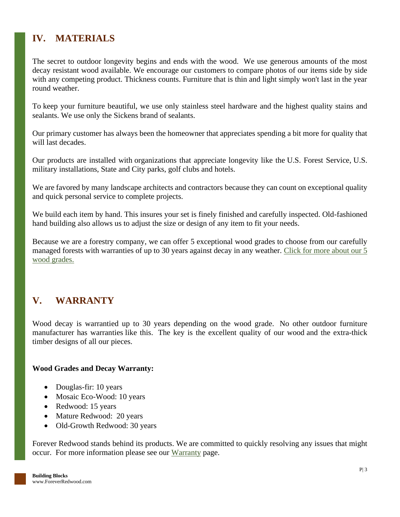# <span id="page-7-0"></span>**IV. MATERIALS**

The secret to outdoor longevity begins and ends with the wood. We use generous amounts of the most decay resistant wood available. We encourage our customers to compare photos of our items side by side with any competing product. Thickness counts. Furniture that is thin and light simply won't last in the year round weather.

To keep your furniture beautiful, we use only stainless steel hardware and the highest quality stains and sealants. We use only the Sickens brand of sealants.

Our primary customer has always been the homeowner that appreciates spending a bit more for quality that will last decades.

Our products are installed with organizations that appreciate longevity like the U.S. Forest Service, U.S. military installations, State and City parks, golf clubs and hotels.

We are favored by many landscape architects and contractors because they can count on exceptional quality and quick personal service to complete projects.

We build each item by hand. This insures your set is finely finished and carefully inspected. Old-fashioned hand building also allows us to adjust the size or design of any item to fit your needs.

Because we are a forestry company, we can offer 5 exceptional wood grades to choose from our carefully managed forests with warranties of up to 30 years against decay in any weather. [Click for more about our 5](https://www.foreverredwood.com/redwood-furniture/wood-grade/)  [wood grades.](https://www.foreverredwood.com/redwood-furniture/wood-grade/)

# <span id="page-7-1"></span>**V. WARRANTY**

Wood decay is warrantied up to 30 years depending on the wood grade. No other outdoor furniture manufacturer has warranties like this. The key is the excellent quality of our wood and the extra-thick timber designs of all our pieces.

## **Wood Grades and Decay Warranty:**

- Douglas-fir: 10 years
- Mosaic Eco-Wood: 10 years
- Redwood: 15 years
- Mature Redwood: 20 years
- Old-Growth Redwood: 30 years

Forever Redwood stands behind its products. We are committed to quickly resolving any issues that might occur. For more information please see our [Warranty](https://www.foreverredwood.com/redwood-furniture/warranty) page.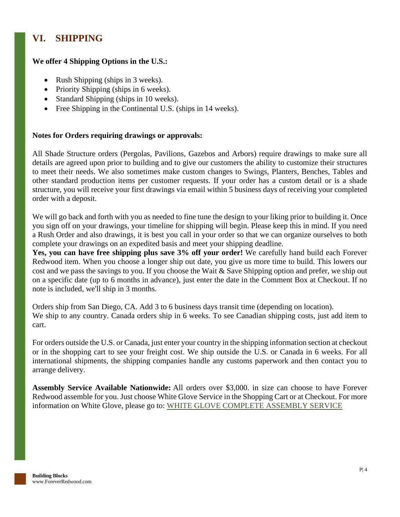# <span id="page-8-0"></span>**VI. SHIPPING**

## **We offer 4 Shipping Options in the U.S.:**

- Rush Shipping (ships in 3 weeks).
- Priority Shipping (ships in 6 weeks).
- Standard Shipping (ships in 10 weeks).
- Free Shipping in the Continental U.S. (ships in 14 weeks).

## **Notes for Orders requiring drawings or approvals:**

All Shade Structure orders (Pergolas, Pavilions, Gazebos and Arbors) require drawings to make sure all details are agreed upon prior to building and to give our customers the ability to customize their structures to meet their needs. We also sometimes make custom changes to Swings, Planters, Benches, Tables and other standard production items per customer requests. If your order has a custom detail or is a shade structure, you will receive your first drawings via email within 5 business days of receiving your completed order with a deposit.

We will go back and forth with you as needed to fine tune the design to your liking prior to building it. Once you sign off on your drawings, your timeline for shipping will begin. Please keep this in mind. If you need a Rush Order and also drawings, it is best you call in your order so that we can organize ourselves to both complete your drawings on an expedited basis and meet your shipping deadline.

**Yes, you can have free shipping plus save 3% off your order!** We carefully hand build each Forever Redwood item. When you choose a longer ship out date, you give us more time to build. This lowers our cost and we pass the savings to you. If you choose the Wait & Save Shipping option and prefer, we ship out on a specific date (up to 6 months in advance), just enter the date in the Comment Box at Checkout. If no note is included, we'll ship in 3 months.

Orders ship from San Diego, CA. Add 3 to 6 business days transit time (depending on location). We ship to any country. Canada orders ship in 6 weeks. To see Canadian shipping costs, just add item to cart.

For orders outside the U.S. or Canada, just enter your country in the shipping information section at checkout or in the shopping cart to see your freight cost. We ship outside the U.S. or Canada in 6 weeks. For all international shipments, the shipping companies handle any customs paperwork and then contact you to arrange delivery.

**Assembly Service Available Nationwide:** All orders over \$3,000. in size can choose to have Forever Redwood assemble for you. Just choose White Glove Service in the Shopping Cart or at Checkout. For more information on White Glove, please go to: [WHITE GLOVE COMPLETE ASSEMBLY SERVICE](http://www.foreverredwood.com/white-glove/)